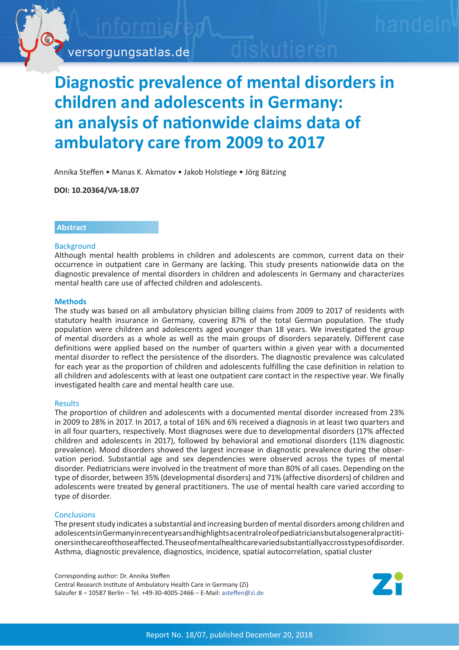

# **Diagnostic prevalence of mental disorders in children and adolescents in Germany: an analysis of nationwide claims data of ambulatory care from 2009 to 2017**

Annika Steffen • Manas K. Akmatov • Jakob Holstiege • Jörg Bätzing

**DOI: 10.20364/VA-18.07**

# **Abstract**

# **Background**

Although mental health problems in children and adolescents are common, current data on their occurrence in outpatient care in Germany are lacking. This study presents nationwide data on the diagnostic prevalence of mental disorders in children and adolescents in Germany and characterizes mental health care use of affected children and adolescents.

#### **Methods**

The study was based on all ambulatory physician billing claims from 2009 to 2017 of residents with statutory health insurance in Germany, covering 87% of the total German population. The study population were children and adolescents aged younger than 18 years. We investigated the group of mental disorders as a whole as well as the main groups of disorders separately. Different case definitions were applied based on the number of quarters within a given year with a documented mental disorder to reflect the persistence of the disorders. The diagnostic prevalence was calculated for each year as the proportion of children and adolescents fulfilling the case definition in relation to all children and adolescents with at least one outpatient care contact in the respective year. We finally investigated health care and mental health care use.

#### Results

The proportion of children and adolescents with a documented mental disorder increased from 23% in 2009 to 28% in 2017. In 2017, a total of 16% and 6% received a diagnosis in at least two quarters and in all four quarters, respectively. Most diagnoses were due to developmental disorders (17% affected children and adolescents in 2017), followed by behavioral and emotional disorders (11% diagnostic prevalence). Mood disorders showed the largest increase in diagnostic prevalence during the observation period. Substantial age and sex dependencies were observed across the types of mental disorder. Pediatricians were involved in the treatment of more than 80% of all cases. Depending on the type of disorder, between 35% (developmental disorders) and 71% (affective disorders) of children and adolescents were treated by general practitioners. The use of mental health care varied according to type of disorder.

# **Conclusions**

The present study indicates a substantial and increasing burden of mental disorders among children and adolescents in Germany in recent years and highlights a central role of pediatricians but also general practitioners in the care of those affected. The use of mental health care varied substantially accross types of disorder. Asthma, diagnostic prevalence, diagnostics, incidence, spatial autocorrelation, spatial cluster

Corresponding author: Dr. Annika Steffen Central Research Institute of Ambulatory Health Care in Germany (Zi) Salzufer 8 – 10587 Berlin – Tel. +49-30-4005-2466 – E-Mail: asteffen[@zi.de](mailto:asteffen%40zi.de?subject=VA-Bericht%2018/07%20Psychische%20St%C3%B6rungen%20von%20Kindern%20und%20Jugendlichen)